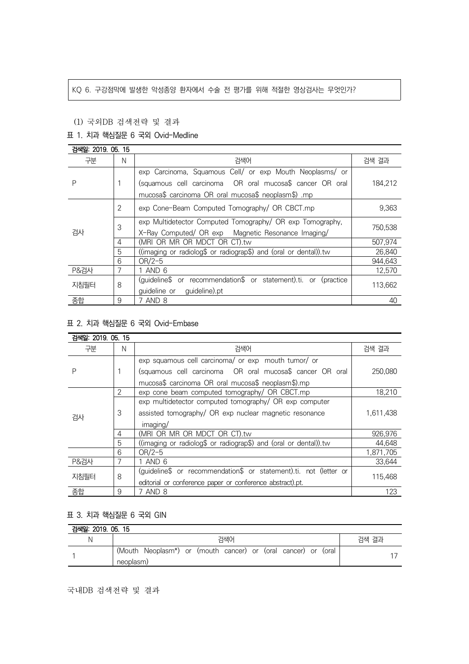#### KQ 6. 구강점막에 발생한 악성종양 환자에서 수술 전 평가를 위해 적절한 영상검사는 무엇인가?

## (1) 국외DB 검색전략 및 결과

## 표 1. 치과 핵심질문 6 국외 Ovid-Medline

| 검색일: 2019, 05, 15 |   |                                                                  |         |
|-------------------|---|------------------------------------------------------------------|---------|
| 구분                | N | 검색어                                                              | 검색 결과   |
| Ρ                 |   | exp Carcinoma, Squamous Cell/ or exp Mouth Neoplasms/ or         |         |
|                   |   | (squamous cell carcinoma  OR oral mucosa\$ cancer OR oral        | 184.212 |
|                   |   | mucosa\$ carcinoma OR oral mucosa\$ neoplasm\$) .mp              |         |
| 검사                | 2 | exp Cone-Beam Computed Tomography/ OR CBCT.mp                    | 9,363   |
|                   | 3 | exp Multidetector Computed Tomography/ OR exp Tomography,        | 750,538 |
|                   |   | X-Ray Computed/ OR exp Magnetic Resonance Imaging/               |         |
|                   | 4 | (MRI OR MR OR MDCT OR CT).tw                                     | 507,974 |
|                   | 5 | ((imaging or radiolog\$ or radiograp\$) and (oral or dental)).tw | 26,840  |
|                   | 6 | $OR/2-5$                                                         | 944.643 |
| <b>P&amp;검사</b>   |   | 1 AND 6                                                          | 12,570  |
| 지침필터              | 8 | (guideline\$ or recommendation\$ or statement).ti. or (practice  | 113,662 |
|                   |   | guideline).pt<br>guideline or                                    |         |
| 종합                | 9 | 7 AND 8                                                          | 40      |

# 표 2. 치과 핵심질문 6 국외 Ovid-Embase

| 검색일: 2019, 05, 15 |                |                                                                   |           |
|-------------------|----------------|-------------------------------------------------------------------|-----------|
| 구분                | N              | 검색어                                                               | 검색 결과     |
| Ρ                 |                | exp squamous cell carcinoma/ or exp mouth tumor/ or               |           |
|                   |                | (squamous cell carcinoma OR oral mucosa\$ cancer OR oral          | 250.080   |
|                   |                | mucosa\$ carcinoma OR oral mucosa\$ neoplasm\$).mp                |           |
| 검사                | $\overline{2}$ | exp cone beam computed tomography/ OR CBCT.mp                     | 18,210    |
|                   | 3              | exp multidetector computed tomography/ OR exp computer            |           |
|                   |                | assisted tomography/ OR exp nuclear magnetic resonance            | 1.611.438 |
|                   |                | imaging/                                                          |           |
|                   | 4              | (MRI OR MR OR MDCT OR CT).tw                                      | 926,976   |
|                   | 5              | ((imaging or radiolog\$ or radiograp\$) and (oral or dental)).tw  | 44.648    |
|                   | 6              | $OR/2-5$                                                          | 1,871,705 |
| <b>P&amp;검사</b>   | 7              | 1 AND 6                                                           | 33,644    |
| 지침필터              | 8              | (guideline\$ or recommendation\$ or statement).ti. not (letter or | 115,468   |
|                   |                | editorial or conference paper or conference abstract).pt.         |           |
| 종합                | 9              | 7 AND 8                                                           | 123       |

## 표 3. 치과 핵심질문 6 국외 GIN

| 검색일: 2019. 05. 15 |                                                               |       |  |  |  |
|-------------------|---------------------------------------------------------------|-------|--|--|--|
|                   | 검색어                                                           | 검색 결과 |  |  |  |
|                   | (Mouth Neoplasm*) or (mouth cancer) or (oral cancer) or (oral |       |  |  |  |
|                   | neoplasm)                                                     |       |  |  |  |